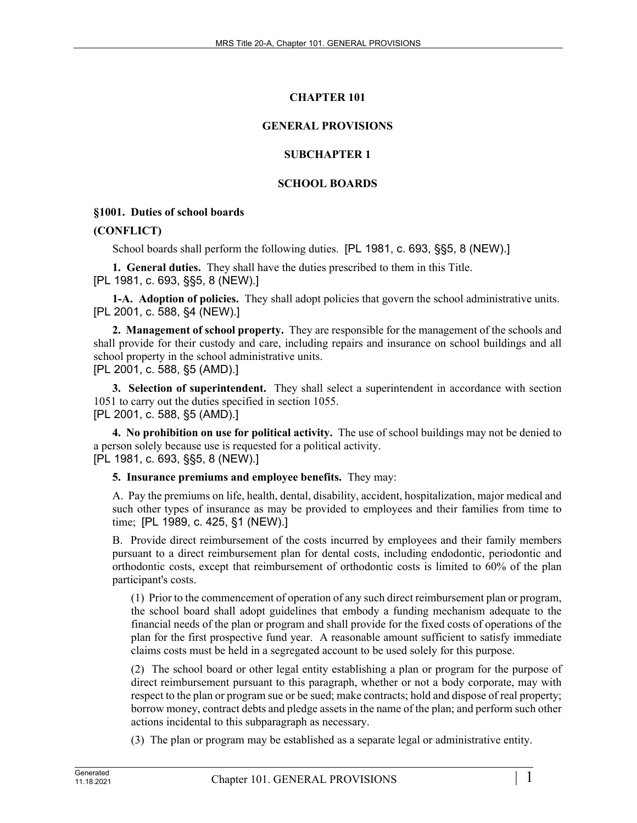# **CHAPTER 101**

# **GENERAL PROVISIONS**

# **SUBCHAPTER 1**

# **SCHOOL BOARDS**

## **§1001. Duties of school boards**

#### **(CONFLICT)**

School boards shall perform the following duties. [PL 1981, c. 693, §§5, 8 (NEW).]

**1. General duties.** They shall have the duties prescribed to them in this Title. [PL 1981, c. 693, §§5, 8 (NEW).]

**1-A. Adoption of policies.** They shall adopt policies that govern the school administrative units. [PL 2001, c. 588, §4 (NEW).]

**2. Management of school property.** They are responsible for the management of the schools and shall provide for their custody and care, including repairs and insurance on school buildings and all school property in the school administrative units. [PL 2001, c. 588, §5 (AMD).]

**3. Selection of superintendent.** They shall select a superintendent in accordance with section 1051 to carry out the duties specified in section 1055.

[PL 2001, c. 588, §5 (AMD).]

**4. No prohibition on use for political activity.** The use of school buildings may not be denied to a person solely because use is requested for a political activity. [PL 1981, c. 693, §§5, 8 (NEW).]

**5. Insurance premiums and employee benefits.** They may:

A. Pay the premiums on life, health, dental, disability, accident, hospitalization, major medical and such other types of insurance as may be provided to employees and their families from time to time; [PL 1989, c. 425, §1 (NEW).]

B. Provide direct reimbursement of the costs incurred by employees and their family members pursuant to a direct reimbursement plan for dental costs, including endodontic, periodontic and orthodontic costs, except that reimbursement of orthodontic costs is limited to 60% of the plan participant's costs.

(1) Prior to the commencement of operation of any such direct reimbursement plan or program, the school board shall adopt guidelines that embody a funding mechanism adequate to the financial needs of the plan or program and shall provide for the fixed costs of operations of the plan for the first prospective fund year. A reasonable amount sufficient to satisfy immediate claims costs must be held in a segregated account to be used solely for this purpose.

(2) The school board or other legal entity establishing a plan or program for the purpose of direct reimbursement pursuant to this paragraph, whether or not a body corporate, may with respect to the plan or program sue or be sued; make contracts; hold and dispose of real property; borrow money, contract debts and pledge assets in the name of the plan; and perform such other actions incidental to this subparagraph as necessary.

(3) The plan or program may be established as a separate legal or administrative entity.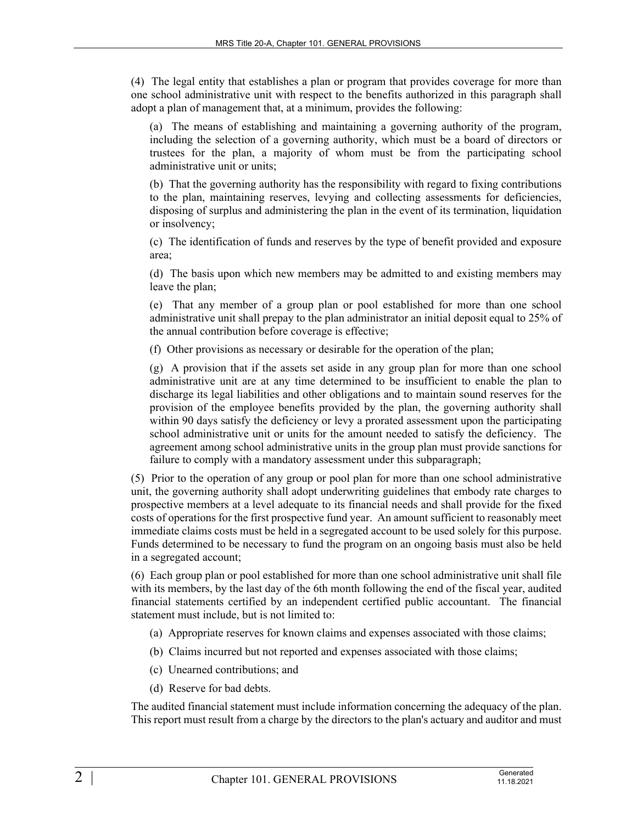(4) The legal entity that establishes a plan or program that provides coverage for more than one school administrative unit with respect to the benefits authorized in this paragraph shall adopt a plan of management that, at a minimum, provides the following:

(a) The means of establishing and maintaining a governing authority of the program, including the selection of a governing authority, which must be a board of directors or trustees for the plan, a majority of whom must be from the participating school administrative unit or units;

(b) That the governing authority has the responsibility with regard to fixing contributions to the plan, maintaining reserves, levying and collecting assessments for deficiencies, disposing of surplus and administering the plan in the event of its termination, liquidation or insolvency;

(c) The identification of funds and reserves by the type of benefit provided and exposure area;

(d) The basis upon which new members may be admitted to and existing members may leave the plan;

(e) That any member of a group plan or pool established for more than one school administrative unit shall prepay to the plan administrator an initial deposit equal to 25% of the annual contribution before coverage is effective;

(f) Other provisions as necessary or desirable for the operation of the plan;

(g) A provision that if the assets set aside in any group plan for more than one school administrative unit are at any time determined to be insufficient to enable the plan to discharge its legal liabilities and other obligations and to maintain sound reserves for the provision of the employee benefits provided by the plan, the governing authority shall within 90 days satisfy the deficiency or levy a prorated assessment upon the participating school administrative unit or units for the amount needed to satisfy the deficiency. The agreement among school administrative units in the group plan must provide sanctions for failure to comply with a mandatory assessment under this subparagraph;

(5) Prior to the operation of any group or pool plan for more than one school administrative unit, the governing authority shall adopt underwriting guidelines that embody rate charges to prospective members at a level adequate to its financial needs and shall provide for the fixed costs of operations for the first prospective fund year. An amount sufficient to reasonably meet immediate claims costs must be held in a segregated account to be used solely for this purpose. Funds determined to be necessary to fund the program on an ongoing basis must also be held in a segregated account;

(6) Each group plan or pool established for more than one school administrative unit shall file with its members, by the last day of the 6th month following the end of the fiscal year, audited financial statements certified by an independent certified public accountant. The financial statement must include, but is not limited to:

- (a) Appropriate reserves for known claims and expenses associated with those claims;
- (b) Claims incurred but not reported and expenses associated with those claims;
- (c) Unearned contributions; and
- (d) Reserve for bad debts.

The audited financial statement must include information concerning the adequacy of the plan. This report must result from a charge by the directors to the plan's actuary and auditor and must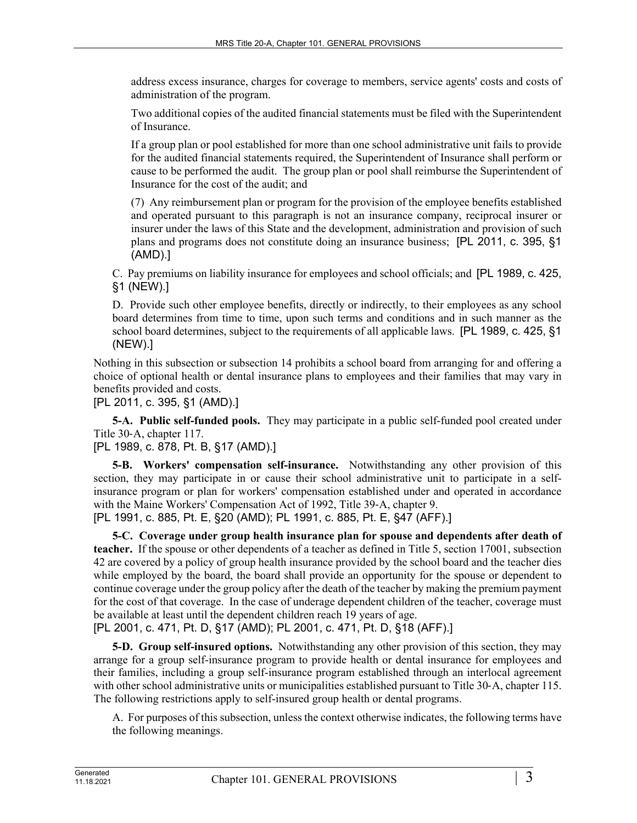address excess insurance, charges for coverage to members, service agents' costs and costs of administration of the program.

Two additional copies of the audited financial statements must be filed with the Superintendent of Insurance.

If a group plan or pool established for more than one school administrative unit fails to provide for the audited financial statements required, the Superintendent of Insurance shall perform or cause to be performed the audit. The group plan or pool shall reimburse the Superintendent of Insurance for the cost of the audit; and

(7) Any reimbursement plan or program for the provision of the employee benefits established and operated pursuant to this paragraph is not an insurance company, reciprocal insurer or insurer under the laws of this State and the development, administration and provision of such plans and programs does not constitute doing an insurance business; [PL 2011, c. 395, §1 (AMD).]

C. Pay premiums on liability insurance for employees and school officials; and [PL 1989, c. 425, §1 (NEW).]

D. Provide such other employee benefits, directly or indirectly, to their employees as any school board determines from time to time, upon such terms and conditions and in such manner as the school board determines, subject to the requirements of all applicable laws. [PL 1989, c. 425, §1 (NEW).]

Nothing in this subsection or subsection 14 prohibits a school board from arranging for and offering a choice of optional health or dental insurance plans to employees and their families that may vary in benefits provided and costs.

[PL 2011, c. 395, §1 (AMD).]

**5-A. Public self-funded pools.** They may participate in a public self-funded pool created under Title 30‑A, chapter 117.

[PL 1989, c. 878, Pt. B, §17 (AMD).]

**5-B. Workers' compensation self-insurance.** Notwithstanding any other provision of this section, they may participate in or cause their school administrative unit to participate in a selfinsurance program or plan for workers' compensation established under and operated in accordance with the Maine Workers' Compensation Act of 1992, Title 39-A, chapter 9. [PL 1991, c. 885, Pt. E, §20 (AMD); PL 1991, c. 885, Pt. E, §47 (AFF).]

**5-C. Coverage under group health insurance plan for spouse and dependents after death of teacher.** If the spouse or other dependents of a teacher as defined in Title 5, section 17001, subsection 42 are covered by a policy of group health insurance provided by the school board and the teacher dies while employed by the board, the board shall provide an opportunity for the spouse or dependent to continue coverage under the group policy after the death of the teacher by making the premium payment for the cost of that coverage. In the case of underage dependent children of the teacher, coverage must be available at least until the dependent children reach 19 years of age.

[PL 2001, c. 471, Pt. D, §17 (AMD); PL 2001, c. 471, Pt. D, §18 (AFF).]

**5-D. Group self-insured options.** Notwithstanding any other provision of this section, they may arrange for a group self-insurance program to provide health or dental insurance for employees and their families, including a group self-insurance program established through an interlocal agreement with other school administrative units or municipalities established pursuant to Title 30-A, chapter 115. The following restrictions apply to self-insured group health or dental programs.

A. For purposes of this subsection, unless the context otherwise indicates, the following terms have the following meanings.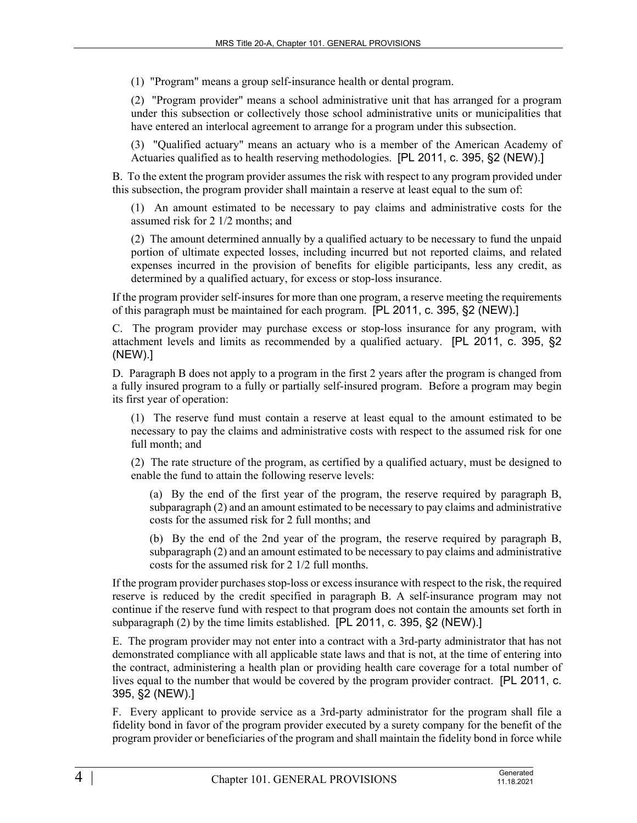(1) "Program" means a group self-insurance health or dental program.

(2) "Program provider" means a school administrative unit that has arranged for a program under this subsection or collectively those school administrative units or municipalities that have entered an interlocal agreement to arrange for a program under this subsection.

(3) "Qualified actuary" means an actuary who is a member of the American Academy of Actuaries qualified as to health reserving methodologies. [PL 2011, c. 395, §2 (NEW).]

B. To the extent the program provider assumes the risk with respect to any program provided under this subsection, the program provider shall maintain a reserve at least equal to the sum of:

(1) An amount estimated to be necessary to pay claims and administrative costs for the assumed risk for 2 1/2 months; and

(2) The amount determined annually by a qualified actuary to be necessary to fund the unpaid portion of ultimate expected losses, including incurred but not reported claims, and related expenses incurred in the provision of benefits for eligible participants, less any credit, as determined by a qualified actuary, for excess or stop-loss insurance.

If the program provider self-insures for more than one program, a reserve meeting the requirements of this paragraph must be maintained for each program. [PL 2011, c. 395, §2 (NEW).]

C. The program provider may purchase excess or stop-loss insurance for any program, with attachment levels and limits as recommended by a qualified actuary. [PL 2011, c. 395, §2 (NEW).]

D. Paragraph B does not apply to a program in the first 2 years after the program is changed from a fully insured program to a fully or partially self-insured program. Before a program may begin its first year of operation:

(1) The reserve fund must contain a reserve at least equal to the amount estimated to be necessary to pay the claims and administrative costs with respect to the assumed risk for one full month; and

(2) The rate structure of the program, as certified by a qualified actuary, must be designed to enable the fund to attain the following reserve levels:

(a) By the end of the first year of the program, the reserve required by paragraph B, subparagraph (2) and an amount estimated to be necessary to pay claims and administrative costs for the assumed risk for 2 full months; and

(b) By the end of the 2nd year of the program, the reserve required by paragraph B, subparagraph (2) and an amount estimated to be necessary to pay claims and administrative costs for the assumed risk for 2 1/2 full months.

If the program provider purchases stop-loss or excess insurance with respect to the risk, the required reserve is reduced by the credit specified in paragraph B. A self-insurance program may not continue if the reserve fund with respect to that program does not contain the amounts set forth in subparagraph (2) by the time limits established. [PL 2011, c. 395, §2 (NEW).]

E. The program provider may not enter into a contract with a 3rd-party administrator that has not demonstrated compliance with all applicable state laws and that is not, at the time of entering into the contract, administering a health plan or providing health care coverage for a total number of lives equal to the number that would be covered by the program provider contract. [PL 2011, c. 395, §2 (NEW).]

F. Every applicant to provide service as a 3rd-party administrator for the program shall file a fidelity bond in favor of the program provider executed by a surety company for the benefit of the program provider or beneficiaries of the program and shall maintain the fidelity bond in force while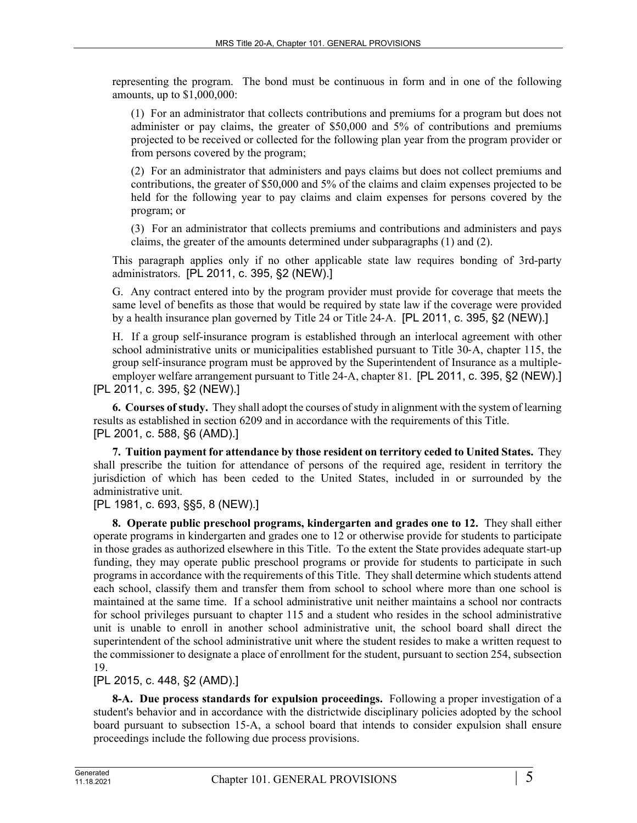representing the program. The bond must be continuous in form and in one of the following amounts, up to \$1,000,000:

(1) For an administrator that collects contributions and premiums for a program but does not administer or pay claims, the greater of \$50,000 and 5% of contributions and premiums projected to be received or collected for the following plan year from the program provider or from persons covered by the program;

(2) For an administrator that administers and pays claims but does not collect premiums and contributions, the greater of \$50,000 and 5% of the claims and claim expenses projected to be held for the following year to pay claims and claim expenses for persons covered by the program; or

(3) For an administrator that collects premiums and contributions and administers and pays claims, the greater of the amounts determined under subparagraphs (1) and (2).

This paragraph applies only if no other applicable state law requires bonding of 3rd-party administrators. [PL 2011, c. 395, §2 (NEW).]

G. Any contract entered into by the program provider must provide for coverage that meets the same level of benefits as those that would be required by state law if the coverage were provided by a health insurance plan governed by Title 24 or Title 24–A. [PL 2011, c. 395, §2 (NEW).]

H. If a group self-insurance program is established through an interlocal agreement with other school administrative units or municipalities established pursuant to Title 30‑A, chapter 115, the group self-insurance program must be approved by the Superintendent of Insurance as a multipleemployer welfare arrangement pursuant to Title 24-A, chapter 81. [PL 2011, c. 395, §2 (NEW).] [PL 2011, c. 395, §2 (NEW).]

**6. Courses of study.** They shall adopt the courses of study in alignment with the system of learning results as established in section 6209 and in accordance with the requirements of this Title. [PL 2001, c. 588, §6 (AMD).]

**7. Tuition payment for attendance by those resident on territory ceded to United States.** They shall prescribe the tuition for attendance of persons of the required age, resident in territory the jurisdiction of which has been ceded to the United States, included in or surrounded by the administrative unit.

[PL 1981, c. 693, §§5, 8 (NEW).]

**8. Operate public preschool programs, kindergarten and grades one to 12.** They shall either operate programs in kindergarten and grades one to 12 or otherwise provide for students to participate in those grades as authorized elsewhere in this Title. To the extent the State provides adequate start-up funding, they may operate public preschool programs or provide for students to participate in such programs in accordance with the requirements of this Title. They shall determine which students attend each school, classify them and transfer them from school to school where more than one school is maintained at the same time. If a school administrative unit neither maintains a school nor contracts for school privileges pursuant to chapter 115 and a student who resides in the school administrative unit is unable to enroll in another school administrative unit, the school board shall direct the superintendent of the school administrative unit where the student resides to make a written request to the commissioner to designate a place of enrollment for the student, pursuant to section 254, subsection 19.

[PL 2015, c. 448, §2 (AMD).]

**8-A. Due process standards for expulsion proceedings.** Following a proper investigation of a student's behavior and in accordance with the districtwide disciplinary policies adopted by the school board pursuant to subsection 15‑A, a school board that intends to consider expulsion shall ensure proceedings include the following due process provisions.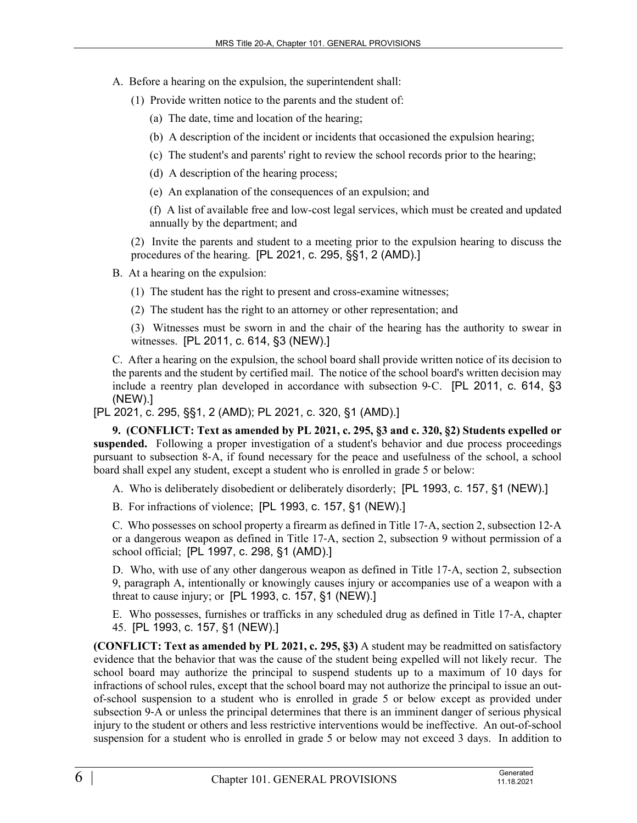- A. Before a hearing on the expulsion, the superintendent shall:
	- (1) Provide written notice to the parents and the student of:
		- (a) The date, time and location of the hearing;
		- (b) A description of the incident or incidents that occasioned the expulsion hearing;
		- (c) The student's and parents' right to review the school records prior to the hearing;
		- (d) A description of the hearing process;
		- (e) An explanation of the consequences of an expulsion; and

(f) A list of available free and low-cost legal services, which must be created and updated annually by the department; and

(2) Invite the parents and student to a meeting prior to the expulsion hearing to discuss the procedures of the hearing. [PL 2021, c. 295, §§1, 2 (AMD).]

B. At a hearing on the expulsion:

- (1) The student has the right to present and cross-examine witnesses;
- (2) The student has the right to an attorney or other representation; and

(3) Witnesses must be sworn in and the chair of the hearing has the authority to swear in witnesses. [PL 2011, c. 614, §3 (NEW).]

C. After a hearing on the expulsion, the school board shall provide written notice of its decision to the parents and the student by certified mail. The notice of the school board's written decision may include a reentry plan developed in accordance with subsection 9–C. [PL 2011, c. 614, §3 (NEW).]

[PL 2021, c. 295, §§1, 2 (AMD); PL 2021, c. 320, §1 (AMD).]

**9. (CONFLICT: Text as amended by PL 2021, c. 295, §3 and c. 320, §2) Students expelled or suspended.** Following a proper investigation of a student's behavior and due process proceedings pursuant to subsection 8‑A, if found necessary for the peace and usefulness of the school, a school board shall expel any student, except a student who is enrolled in grade 5 or below:

A. Who is deliberately disobedient or deliberately disorderly; [PL 1993, c. 157, §1 (NEW).]

B. For infractions of violence; [PL 1993, c. 157, §1 (NEW).]

C. Who possesses on school property a firearm as defined in Title 17‑A, section 2, subsection 12‑A or a dangerous weapon as defined in Title 17‑A, section 2, subsection 9 without permission of a school official; [PL 1997, c. 298, §1 (AMD).]

D. Who, with use of any other dangerous weapon as defined in Title 17‑A, section 2, subsection 9, paragraph A, intentionally or knowingly causes injury or accompanies use of a weapon with a threat to cause injury; or [PL 1993, c. 157, §1 (NEW).]

E. Who possesses, furnishes or trafficks in any scheduled drug as defined in Title 17‑A, chapter 45. [PL 1993, c. 157, §1 (NEW).]

**(CONFLICT: Text as amended by PL 2021, c. 295, §3)** A student may be readmitted on satisfactory evidence that the behavior that was the cause of the student being expelled will not likely recur. The school board may authorize the principal to suspend students up to a maximum of 10 days for infractions of school rules, except that the school board may not authorize the principal to issue an outof-school suspension to a student who is enrolled in grade 5 or below except as provided under subsection 9–A or unless the principal determines that there is an imminent danger of serious physical injury to the student or others and less restrictive interventions would be ineffective. An out-of-school suspension for a student who is enrolled in grade 5 or below may not exceed 3 days. In addition to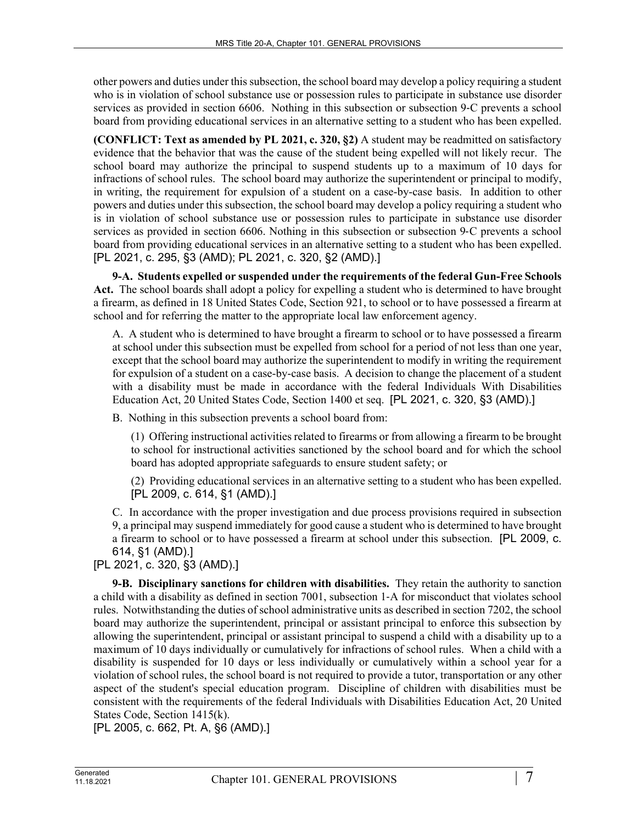other powers and duties under this subsection, the school board may develop a policy requiring a student who is in violation of school substance use or possession rules to participate in substance use disorder services as provided in section 6606. Nothing in this subsection or subsection 9‑C prevents a school board from providing educational services in an alternative setting to a student who has been expelled.

**(CONFLICT: Text as amended by PL 2021, c. 320, §2)** A student may be readmitted on satisfactory evidence that the behavior that was the cause of the student being expelled will not likely recur. The school board may authorize the principal to suspend students up to a maximum of 10 days for infractions of school rules. The school board may authorize the superintendent or principal to modify, in writing, the requirement for expulsion of a student on a case-by-case basis. In addition to other powers and duties under this subsection, the school board may develop a policy requiring a student who is in violation of school substance use or possession rules to participate in substance use disorder services as provided in section 6606. Nothing in this subsection or subsection 9‑C prevents a school board from providing educational services in an alternative setting to a student who has been expelled. [PL 2021, c. 295, §3 (AMD); PL 2021, c. 320, §2 (AMD).]

**9-A. Students expelled or suspended under the requirements of the federal Gun-Free Schools Act.** The school boards shall adopt a policy for expelling a student who is determined to have brought a firearm, as defined in 18 United States Code, Section 921, to school or to have possessed a firearm at school and for referring the matter to the appropriate local law enforcement agency.

A. A student who is determined to have brought a firearm to school or to have possessed a firearm at school under this subsection must be expelled from school for a period of not less than one year, except that the school board may authorize the superintendent to modify in writing the requirement for expulsion of a student on a case-by-case basis. A decision to change the placement of a student with a disability must be made in accordance with the federal Individuals With Disabilities Education Act, 20 United States Code, Section 1400 et seq. [PL 2021, c. 320, §3 (AMD).]

B. Nothing in this subsection prevents a school board from:

(1) Offering instructional activities related to firearms or from allowing a firearm to be brought to school for instructional activities sanctioned by the school board and for which the school board has adopted appropriate safeguards to ensure student safety; or

(2) Providing educational services in an alternative setting to a student who has been expelled. [PL 2009, c. 614, §1 (AMD).]

C. In accordance with the proper investigation and due process provisions required in subsection 9, a principal may suspend immediately for good cause a student who is determined to have brought a firearm to school or to have possessed a firearm at school under this subsection. [PL 2009, c. 614, §1 (AMD).]

[PL 2021, c. 320, §3 (AMD).]

**9-B. Disciplinary sanctions for children with disabilities.** They retain the authority to sanction a child with a disability as defined in section 7001, subsection 1‑A for misconduct that violates school rules. Notwithstanding the duties of school administrative units as described in section 7202, the school board may authorize the superintendent, principal or assistant principal to enforce this subsection by allowing the superintendent, principal or assistant principal to suspend a child with a disability up to a maximum of 10 days individually or cumulatively for infractions of school rules. When a child with a disability is suspended for 10 days or less individually or cumulatively within a school year for a violation of school rules, the school board is not required to provide a tutor, transportation or any other aspect of the student's special education program. Discipline of children with disabilities must be consistent with the requirements of the federal Individuals with Disabilities Education Act, 20 United States Code, Section 1415(k).

[PL 2005, c. 662, Pt. A, §6 (AMD).]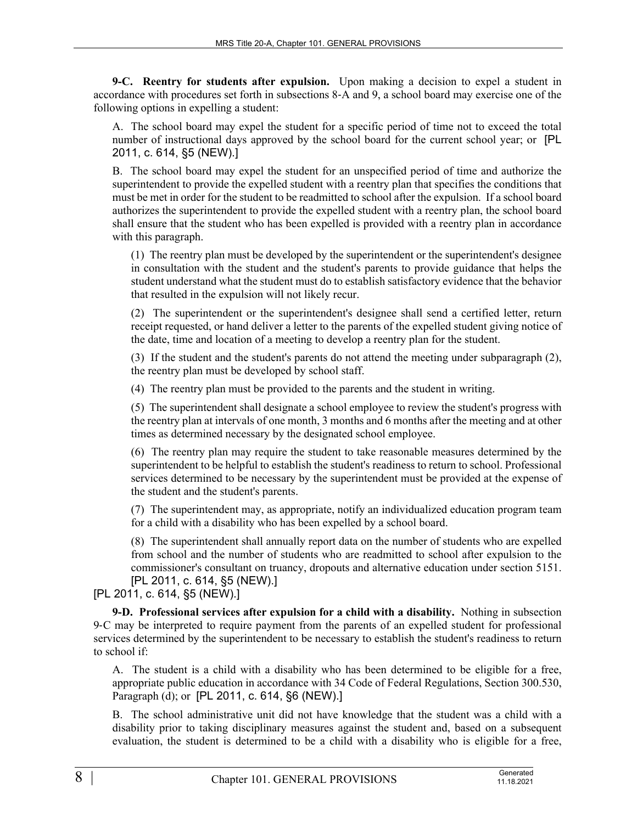**9-C. Reentry for students after expulsion.** Upon making a decision to expel a student in accordance with procedures set forth in subsections 8‑A and 9, a school board may exercise one of the following options in expelling a student:

A. The school board may expel the student for a specific period of time not to exceed the total number of instructional days approved by the school board for the current school year; or [PL 2011, c. 614, §5 (NEW).]

B. The school board may expel the student for an unspecified period of time and authorize the superintendent to provide the expelled student with a reentry plan that specifies the conditions that must be met in order for the student to be readmitted to school after the expulsion. If a school board authorizes the superintendent to provide the expelled student with a reentry plan, the school board shall ensure that the student who has been expelled is provided with a reentry plan in accordance with this paragraph.

(1) The reentry plan must be developed by the superintendent or the superintendent's designee in consultation with the student and the student's parents to provide guidance that helps the student understand what the student must do to establish satisfactory evidence that the behavior that resulted in the expulsion will not likely recur.

(2) The superintendent or the superintendent's designee shall send a certified letter, return receipt requested, or hand deliver a letter to the parents of the expelled student giving notice of the date, time and location of a meeting to develop a reentry plan for the student.

(3) If the student and the student's parents do not attend the meeting under subparagraph (2), the reentry plan must be developed by school staff.

(4) The reentry plan must be provided to the parents and the student in writing.

(5) The superintendent shall designate a school employee to review the student's progress with the reentry plan at intervals of one month, 3 months and 6 months after the meeting and at other times as determined necessary by the designated school employee.

(6) The reentry plan may require the student to take reasonable measures determined by the superintendent to be helpful to establish the student's readiness to return to school. Professional services determined to be necessary by the superintendent must be provided at the expense of the student and the student's parents.

(7) The superintendent may, as appropriate, notify an individualized education program team for a child with a disability who has been expelled by a school board.

(8) The superintendent shall annually report data on the number of students who are expelled from school and the number of students who are readmitted to school after expulsion to the commissioner's consultant on truancy, dropouts and alternative education under section 5151. [PL 2011, c. 614, §5 (NEW).]

[PL 2011, c. 614, §5 (NEW).]

**9-D. Professional services after expulsion for a child with a disability.** Nothing in subsection 9‑C may be interpreted to require payment from the parents of an expelled student for professional services determined by the superintendent to be necessary to establish the student's readiness to return to school if:

A. The student is a child with a disability who has been determined to be eligible for a free, appropriate public education in accordance with 34 Code of Federal Regulations, Section 300.530, Paragraph (d); or [PL 2011, c. 614, §6 (NEW).]

B. The school administrative unit did not have knowledge that the student was a child with a disability prior to taking disciplinary measures against the student and, based on a subsequent evaluation, the student is determined to be a child with a disability who is eligible for a free,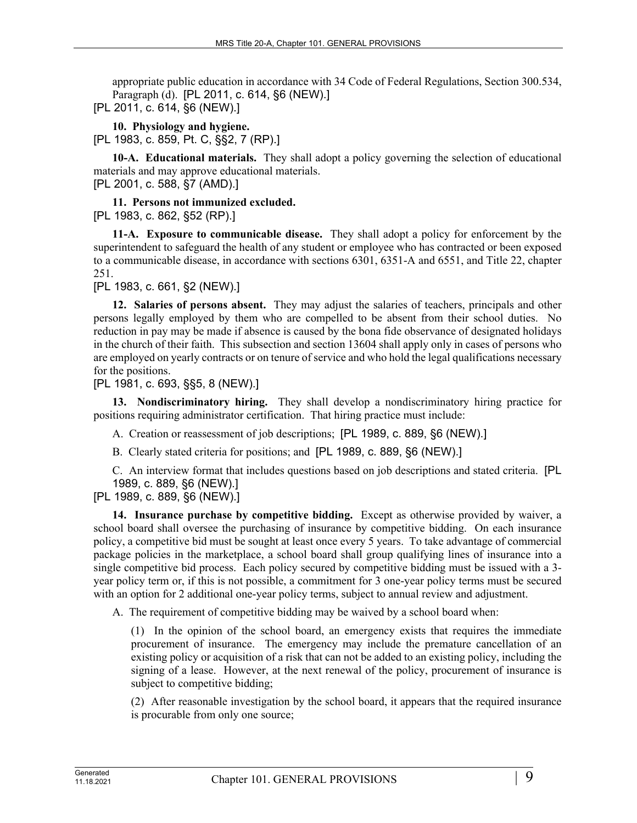appropriate public education in accordance with 34 Code of Federal Regulations, Section 300.534, Paragraph (d). [PL 2011, c. 614, §6 (NEW).]

[PL 2011, c. 614, §6 (NEW).]

**10. Physiology and hygiene.**  [PL 1983, c. 859, Pt. C, §§2, 7 (RP).]

**10-A. Educational materials.** They shall adopt a policy governing the selection of educational materials and may approve educational materials.

[PL 2001, c. 588, §7 (AMD).]

**11. Persons not immunized excluded.**  [PL 1983, c. 862, §52 (RP).]

**11-A. Exposure to communicable disease.** They shall adopt a policy for enforcement by the superintendent to safeguard the health of any student or employee who has contracted or been exposed to a communicable disease, in accordance with sections 6301, 6351-A and 6551, and Title 22, chapter 251.

[PL 1983, c. 661, §2 (NEW).]

**12. Salaries of persons absent.** They may adjust the salaries of teachers, principals and other persons legally employed by them who are compelled to be absent from their school duties. No reduction in pay may be made if absence is caused by the bona fide observance of designated holidays in the church of their faith. This subsection and section 13604 shall apply only in cases of persons who are employed on yearly contracts or on tenure of service and who hold the legal qualifications necessary for the positions.

[PL 1981, c. 693, §§5, 8 (NEW).]

**13. Nondiscriminatory hiring.** They shall develop a nondiscriminatory hiring practice for positions requiring administrator certification. That hiring practice must include:

A. Creation or reassessment of job descriptions; [PL 1989, c. 889, §6 (NEW).]

B. Clearly stated criteria for positions; and [PL 1989, c. 889, §6 (NEW).]

C. An interview format that includes questions based on job descriptions and stated criteria. [PL 1989, c. 889, §6 (NEW).]

[PL 1989, c. 889, §6 (NEW).]

**14. Insurance purchase by competitive bidding.** Except as otherwise provided by waiver, a school board shall oversee the purchasing of insurance by competitive bidding. On each insurance policy, a competitive bid must be sought at least once every 5 years. To take advantage of commercial package policies in the marketplace, a school board shall group qualifying lines of insurance into a single competitive bid process. Each policy secured by competitive bidding must be issued with a 3 year policy term or, if this is not possible, a commitment for 3 one-year policy terms must be secured with an option for 2 additional one-year policy terms, subject to annual review and adjustment.

A. The requirement of competitive bidding may be waived by a school board when:

(1) In the opinion of the school board, an emergency exists that requires the immediate procurement of insurance. The emergency may include the premature cancellation of an existing policy or acquisition of a risk that can not be added to an existing policy, including the signing of a lease. However, at the next renewal of the policy, procurement of insurance is subject to competitive bidding;

(2) After reasonable investigation by the school board, it appears that the required insurance is procurable from only one source;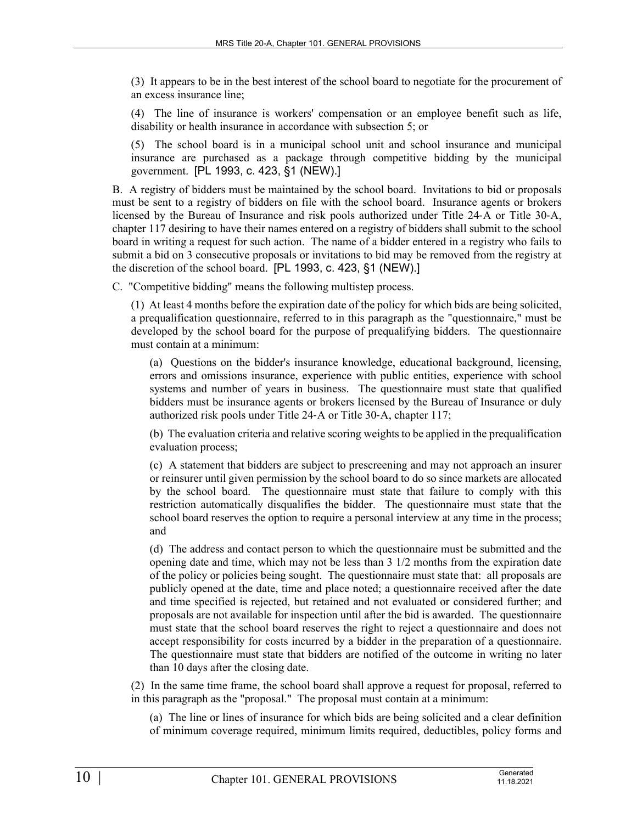(3) It appears to be in the best interest of the school board to negotiate for the procurement of an excess insurance line;

(4) The line of insurance is workers' compensation or an employee benefit such as life, disability or health insurance in accordance with subsection 5; or

(5) The school board is in a municipal school unit and school insurance and municipal insurance are purchased as a package through competitive bidding by the municipal government. [PL 1993, c. 423, §1 (NEW).]

B. A registry of bidders must be maintained by the school board. Invitations to bid or proposals must be sent to a registry of bidders on file with the school board. Insurance agents or brokers licensed by the Bureau of Insurance and risk pools authorized under Title 24‑A or Title 30‑A, chapter 117 desiring to have their names entered on a registry of bidders shall submit to the school board in writing a request for such action. The name of a bidder entered in a registry who fails to submit a bid on 3 consecutive proposals or invitations to bid may be removed from the registry at the discretion of the school board. [PL 1993, c. 423, §1 (NEW).]

C. "Competitive bidding" means the following multistep process.

(1) At least 4 months before the expiration date of the policy for which bids are being solicited, a prequalification questionnaire, referred to in this paragraph as the "questionnaire," must be developed by the school board for the purpose of prequalifying bidders. The questionnaire must contain at a minimum:

(a) Questions on the bidder's insurance knowledge, educational background, licensing, errors and omissions insurance, experience with public entities, experience with school systems and number of years in business. The questionnaire must state that qualified bidders must be insurance agents or brokers licensed by the Bureau of Insurance or duly authorized risk pools under Title 24‑A or Title 30‑A, chapter 117;

(b) The evaluation criteria and relative scoring weights to be applied in the prequalification evaluation process;

(c) A statement that bidders are subject to prescreening and may not approach an insurer or reinsurer until given permission by the school board to do so since markets are allocated by the school board. The questionnaire must state that failure to comply with this restriction automatically disqualifies the bidder. The questionnaire must state that the school board reserves the option to require a personal interview at any time in the process; and

(d) The address and contact person to which the questionnaire must be submitted and the opening date and time, which may not be less than 3 1/2 months from the expiration date of the policy or policies being sought. The questionnaire must state that: all proposals are publicly opened at the date, time and place noted; a questionnaire received after the date and time specified is rejected, but retained and not evaluated or considered further; and proposals are not available for inspection until after the bid is awarded. The questionnaire must state that the school board reserves the right to reject a questionnaire and does not accept responsibility for costs incurred by a bidder in the preparation of a questionnaire. The questionnaire must state that bidders are notified of the outcome in writing no later than 10 days after the closing date.

(2) In the same time frame, the school board shall approve a request for proposal, referred to in this paragraph as the "proposal." The proposal must contain at a minimum:

(a) The line or lines of insurance for which bids are being solicited and a clear definition of minimum coverage required, minimum limits required, deductibles, policy forms and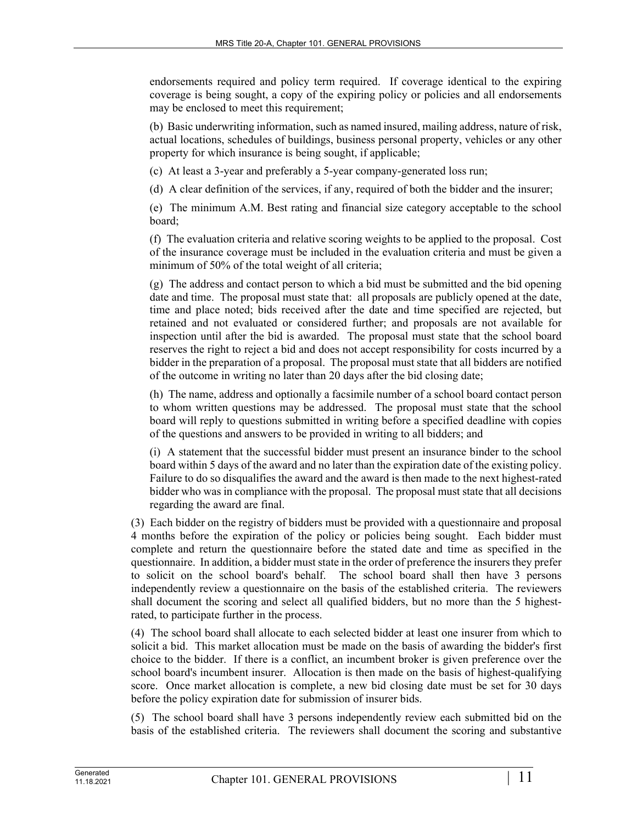endorsements required and policy term required. If coverage identical to the expiring coverage is being sought, a copy of the expiring policy or policies and all endorsements may be enclosed to meet this requirement;

(b) Basic underwriting information, such as named insured, mailing address, nature of risk, actual locations, schedules of buildings, business personal property, vehicles or any other property for which insurance is being sought, if applicable;

(c) At least a 3-year and preferably a 5-year company-generated loss run;

(d) A clear definition of the services, if any, required of both the bidder and the insurer;

(e) The minimum A.M. Best rating and financial size category acceptable to the school board;

(f) The evaluation criteria and relative scoring weights to be applied to the proposal. Cost of the insurance coverage must be included in the evaluation criteria and must be given a minimum of 50% of the total weight of all criteria;

(g) The address and contact person to which a bid must be submitted and the bid opening date and time. The proposal must state that: all proposals are publicly opened at the date, time and place noted; bids received after the date and time specified are rejected, but retained and not evaluated or considered further; and proposals are not available for inspection until after the bid is awarded. The proposal must state that the school board reserves the right to reject a bid and does not accept responsibility for costs incurred by a bidder in the preparation of a proposal. The proposal must state that all bidders are notified of the outcome in writing no later than 20 days after the bid closing date;

(h) The name, address and optionally a facsimile number of a school board contact person to whom written questions may be addressed. The proposal must state that the school board will reply to questions submitted in writing before a specified deadline with copies of the questions and answers to be provided in writing to all bidders; and

(i) A statement that the successful bidder must present an insurance binder to the school board within 5 days of the award and no later than the expiration date of the existing policy. Failure to do so disqualifies the award and the award is then made to the next highest-rated bidder who was in compliance with the proposal. The proposal must state that all decisions regarding the award are final.

(3) Each bidder on the registry of bidders must be provided with a questionnaire and proposal 4 months before the expiration of the policy or policies being sought. Each bidder must complete and return the questionnaire before the stated date and time as specified in the questionnaire. In addition, a bidder must state in the order of preference the insurers they prefer to solicit on the school board's behalf. The school board shall then have 3 persons independently review a questionnaire on the basis of the established criteria. The reviewers shall document the scoring and select all qualified bidders, but no more than the 5 highestrated, to participate further in the process.

(4) The school board shall allocate to each selected bidder at least one insurer from which to solicit a bid. This market allocation must be made on the basis of awarding the bidder's first choice to the bidder. If there is a conflict, an incumbent broker is given preference over the school board's incumbent insurer. Allocation is then made on the basis of highest-qualifying score. Once market allocation is complete, a new bid closing date must be set for 30 days before the policy expiration date for submission of insurer bids.

(5) The school board shall have 3 persons independently review each submitted bid on the basis of the established criteria. The reviewers shall document the scoring and substantive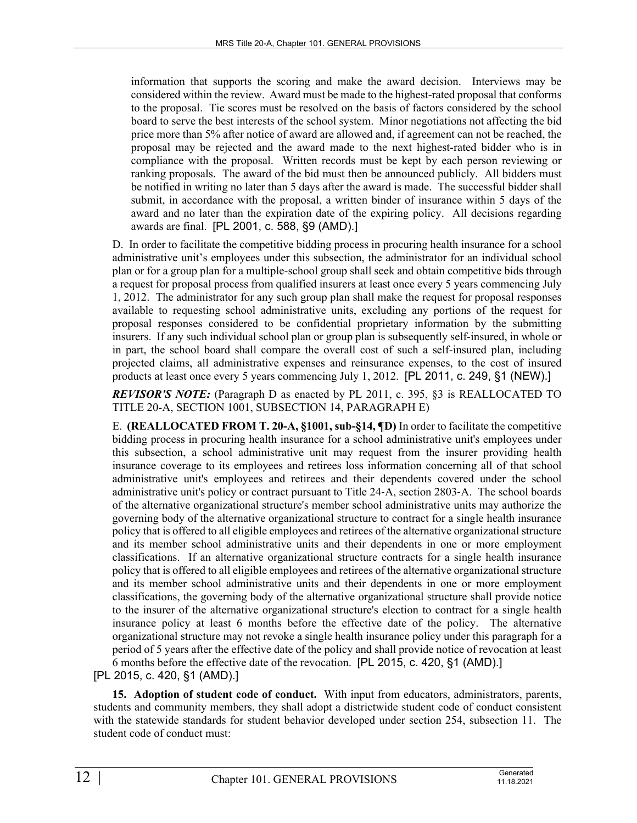information that supports the scoring and make the award decision. Interviews may be considered within the review. Award must be made to the highest-rated proposal that conforms to the proposal. Tie scores must be resolved on the basis of factors considered by the school board to serve the best interests of the school system. Minor negotiations not affecting the bid price more than 5% after notice of award are allowed and, if agreement can not be reached, the proposal may be rejected and the award made to the next highest-rated bidder who is in compliance with the proposal. Written records must be kept by each person reviewing or ranking proposals. The award of the bid must then be announced publicly. All bidders must be notified in writing no later than 5 days after the award is made. The successful bidder shall submit, in accordance with the proposal, a written binder of insurance within 5 days of the award and no later than the expiration date of the expiring policy. All decisions regarding awards are final. [PL 2001, c. 588, §9 (AMD).]

D. In order to facilitate the competitive bidding process in procuring health insurance for a school administrative unit's employees under this subsection, the administrator for an individual school plan or for a group plan for a multiple-school group shall seek and obtain competitive bids through a request for proposal process from qualified insurers at least once every 5 years commencing July 1, 2012. The administrator for any such group plan shall make the request for proposal responses available to requesting school administrative units, excluding any portions of the request for proposal responses considered to be confidential proprietary information by the submitting insurers. If any such individual school plan or group plan is subsequently self-insured, in whole or in part, the school board shall compare the overall cost of such a self-insured plan, including projected claims, all administrative expenses and reinsurance expenses, to the cost of insured products at least once every 5 years commencing July 1, 2012. [PL 2011, c. 249, §1 (NEW).]

*REVISOR'S NOTE:* (Paragraph D as enacted by PL 2011, c. 395, §3 is REALLOCATED TO TITLE 20-A, SECTION 1001, SUBSECTION 14, PARAGRAPH E)

E. **(REALLOCATED FROM T. 20-A, §1001, sub-§14, ¶D)** In order to facilitate the competitive bidding process in procuring health insurance for a school administrative unit's employees under this subsection, a school administrative unit may request from the insurer providing health insurance coverage to its employees and retirees loss information concerning all of that school administrative unit's employees and retirees and their dependents covered under the school administrative unit's policy or contract pursuant to Title 24‑A, section 2803‑A. The school boards of the alternative organizational structure's member school administrative units may authorize the governing body of the alternative organizational structure to contract for a single health insurance policy that is offered to all eligible employees and retirees of the alternative organizational structure and its member school administrative units and their dependents in one or more employment classifications. If an alternative organizational structure contracts for a single health insurance policy that is offered to all eligible employees and retirees of the alternative organizational structure and its member school administrative units and their dependents in one or more employment classifications, the governing body of the alternative organizational structure shall provide notice to the insurer of the alternative organizational structure's election to contract for a single health insurance policy at least 6 months before the effective date of the policy. The alternative organizational structure may not revoke a single health insurance policy under this paragraph for a period of 5 years after the effective date of the policy and shall provide notice of revocation at least 6 months before the effective date of the revocation. [PL 2015, c. 420, §1 (AMD).]

[PL 2015, c. 420, §1 (AMD).]

**15. Adoption of student code of conduct.** With input from educators, administrators, parents, students and community members, they shall adopt a districtwide student code of conduct consistent with the statewide standards for student behavior developed under section 254, subsection 11. The student code of conduct must: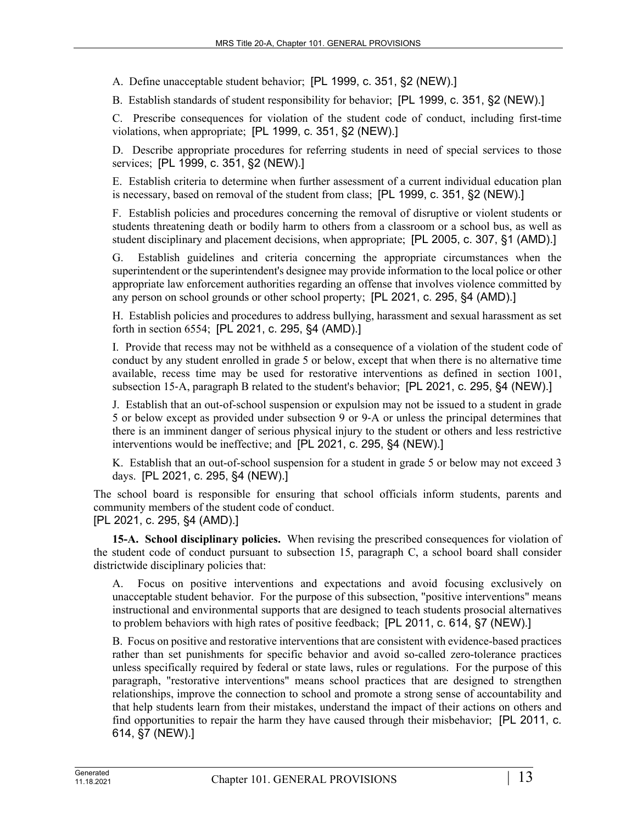A. Define unacceptable student behavior; [PL 1999, c. 351, §2 (NEW).]

B. Establish standards of student responsibility for behavior; [PL 1999, c. 351, §2 (NEW).]

C. Prescribe consequences for violation of the student code of conduct, including first-time violations, when appropriate; [PL 1999, c. 351, §2 (NEW).]

D. Describe appropriate procedures for referring students in need of special services to those services; [PL 1999, c. 351, §2 (NEW).]

E. Establish criteria to determine when further assessment of a current individual education plan is necessary, based on removal of the student from class; [PL 1999, c. 351, §2 (NEW).]

F. Establish policies and procedures concerning the removal of disruptive or violent students or students threatening death or bodily harm to others from a classroom or a school bus, as well as student disciplinary and placement decisions, when appropriate; [PL 2005, c. 307, §1 (AMD).]

G. Establish guidelines and criteria concerning the appropriate circumstances when the superintendent or the superintendent's designee may provide information to the local police or other appropriate law enforcement authorities regarding an offense that involves violence committed by any person on school grounds or other school property; [PL 2021, c. 295, §4 (AMD).]

H. Establish policies and procedures to address bullying, harassment and sexual harassment as set forth in section 6554; [PL 2021, c. 295, §4 (AMD).]

I. Provide that recess may not be withheld as a consequence of a violation of the student code of conduct by any student enrolled in grade 5 or below, except that when there is no alternative time available, recess time may be used for restorative interventions as defined in section 1001, subsection 15–A, paragraph B related to the student's behavior; [PL 2021, c. 295, §4 (NEW).]

J. Establish that an out-of-school suspension or expulsion may not be issued to a student in grade 5 or below except as provided under subsection 9 or 9‑A or unless the principal determines that there is an imminent danger of serious physical injury to the student or others and less restrictive interventions would be ineffective; and [PL 2021, c. 295, §4 (NEW).]

K. Establish that an out-of-school suspension for a student in grade 5 or below may not exceed 3 days. [PL 2021, c. 295, §4 (NEW).]

The school board is responsible for ensuring that school officials inform students, parents and community members of the student code of conduct. [PL 2021, c. 295, §4 (AMD).]

**15-A. School disciplinary policies.** When revising the prescribed consequences for violation of the student code of conduct pursuant to subsection 15, paragraph C, a school board shall consider districtwide disciplinary policies that:

A. Focus on positive interventions and expectations and avoid focusing exclusively on unacceptable student behavior. For the purpose of this subsection, "positive interventions" means instructional and environmental supports that are designed to teach students prosocial alternatives to problem behaviors with high rates of positive feedback; [PL 2011, c. 614, §7 (NEW).]

B. Focus on positive and restorative interventions that are consistent with evidence-based practices rather than set punishments for specific behavior and avoid so-called zero-tolerance practices unless specifically required by federal or state laws, rules or regulations. For the purpose of this paragraph, "restorative interventions" means school practices that are designed to strengthen relationships, improve the connection to school and promote a strong sense of accountability and that help students learn from their mistakes, understand the impact of their actions on others and find opportunities to repair the harm they have caused through their misbehavior; [PL 2011, c. 614, §7 (NEW).]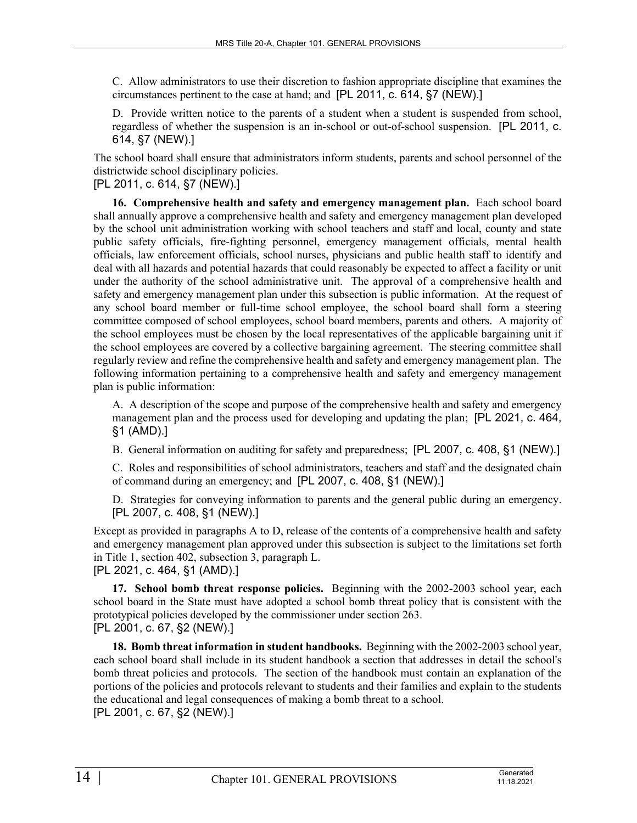C. Allow administrators to use their discretion to fashion appropriate discipline that examines the circumstances pertinent to the case at hand; and [PL 2011, c. 614, §7 (NEW).]

D. Provide written notice to the parents of a student when a student is suspended from school, regardless of whether the suspension is an in-school or out-of-school suspension. [PL 2011, c. 614, §7 (NEW).]

The school board shall ensure that administrators inform students, parents and school personnel of the districtwide school disciplinary policies.

[PL 2011, c. 614, §7 (NEW).]

**16. Comprehensive health and safety and emergency management plan.** Each school board shall annually approve a comprehensive health and safety and emergency management plan developed by the school unit administration working with school teachers and staff and local, county and state public safety officials, fire-fighting personnel, emergency management officials, mental health officials, law enforcement officials, school nurses, physicians and public health staff to identify and deal with all hazards and potential hazards that could reasonably be expected to affect a facility or unit under the authority of the school administrative unit. The approval of a comprehensive health and safety and emergency management plan under this subsection is public information. At the request of any school board member or full-time school employee, the school board shall form a steering committee composed of school employees, school board members, parents and others. A majority of the school employees must be chosen by the local representatives of the applicable bargaining unit if the school employees are covered by a collective bargaining agreement. The steering committee shall regularly review and refine the comprehensive health and safety and emergency management plan. The following information pertaining to a comprehensive health and safety and emergency management plan is public information:

A. A description of the scope and purpose of the comprehensive health and safety and emergency management plan and the process used for developing and updating the plan; [PL 2021, c. 464, §1 (AMD).]

B. General information on auditing for safety and preparedness; [PL 2007, c. 408, §1 (NEW).]

C. Roles and responsibilities of school administrators, teachers and staff and the designated chain of command during an emergency; and [PL 2007, c. 408, §1 (NEW).]

D. Strategies for conveying information to parents and the general public during an emergency. [PL 2007, c. 408, §1 (NEW).]

Except as provided in paragraphs A to D, release of the contents of a comprehensive health and safety and emergency management plan approved under this subsection is subject to the limitations set forth in Title 1, section 402, subsection 3, paragraph L.

[PL 2021, c. 464, §1 (AMD).]

**17. School bomb threat response policies.** Beginning with the 2002-2003 school year, each school board in the State must have adopted a school bomb threat policy that is consistent with the prototypical policies developed by the commissioner under section 263. [PL 2001, c. 67, §2 (NEW).]

**18. Bomb threat information in student handbooks.** Beginning with the 2002-2003 school year, each school board shall include in its student handbook a section that addresses in detail the school's bomb threat policies and protocols. The section of the handbook must contain an explanation of the portions of the policies and protocols relevant to students and their families and explain to the students the educational and legal consequences of making a bomb threat to a school. [PL 2001, c. 67, §2 (NEW).]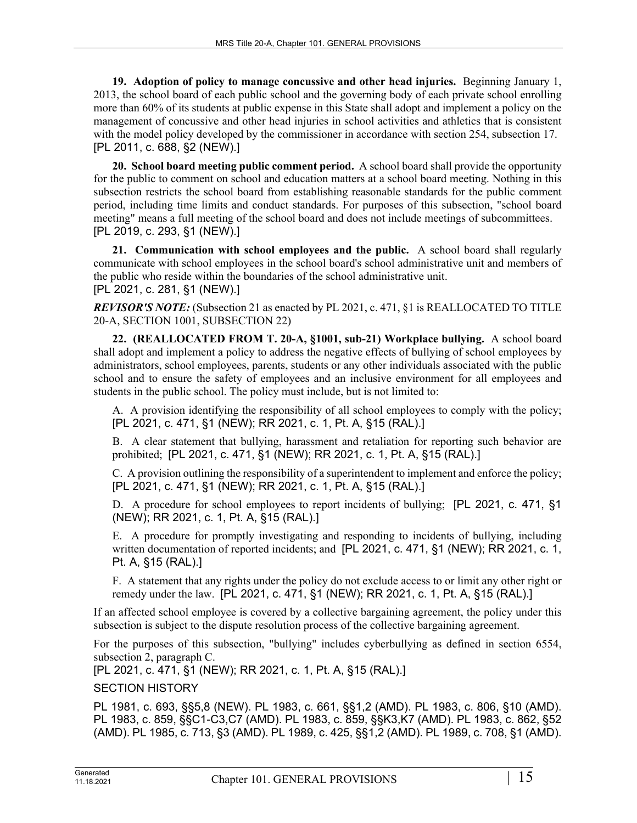**19. Adoption of policy to manage concussive and other head injuries.** Beginning January 1, 2013, the school board of each public school and the governing body of each private school enrolling more than 60% of its students at public expense in this State shall adopt and implement a policy on the management of concussive and other head injuries in school activities and athletics that is consistent with the model policy developed by the commissioner in accordance with section 254, subsection 17. [PL 2011, c. 688, §2 (NEW).]

**20. School board meeting public comment period.** A school board shall provide the opportunity for the public to comment on school and education matters at a school board meeting. Nothing in this subsection restricts the school board from establishing reasonable standards for the public comment period, including time limits and conduct standards. For purposes of this subsection, "school board meeting" means a full meeting of the school board and does not include meetings of subcommittees. [PL 2019, c. 293, §1 (NEW).]

**21. Communication with school employees and the public.** A school board shall regularly communicate with school employees in the school board's school administrative unit and members of the public who reside within the boundaries of the school administrative unit. [PL 2021, c. 281, §1 (NEW).]

*REVISOR'S NOTE:* (Subsection 21 as enacted by PL 2021, c. 471, §1 is REALLOCATED TO TITLE 20-A, SECTION 1001, SUBSECTION 22)

**22. (REALLOCATED FROM T. 20-A, §1001, sub-21) Workplace bullying.** A school board shall adopt and implement a policy to address the negative effects of bullying of school employees by administrators, school employees, parents, students or any other individuals associated with the public school and to ensure the safety of employees and an inclusive environment for all employees and students in the public school. The policy must include, but is not limited to:

A. A provision identifying the responsibility of all school employees to comply with the policy; [PL 2021, c. 471, §1 (NEW); RR 2021, c. 1, Pt. A, §15 (RAL).]

B. A clear statement that bullying, harassment and retaliation for reporting such behavior are prohibited; [PL 2021, c. 471, §1 (NEW); RR 2021, c. 1, Pt. A, §15 (RAL).]

C. A provision outlining the responsibility of a superintendent to implement and enforce the policy; [PL 2021, c. 471, §1 (NEW); RR 2021, c. 1, Pt. A, §15 (RAL).]

D. A procedure for school employees to report incidents of bullying; [PL 2021, c. 471, §1 (NEW); RR 2021, c. 1, Pt. A, §15 (RAL).]

E. A procedure for promptly investigating and responding to incidents of bullying, including written documentation of reported incidents; and [PL 2021, c. 471, §1 (NEW); RR 2021, c. 1, Pt. A, §15 (RAL).]

F. A statement that any rights under the policy do not exclude access to or limit any other right or remedy under the law. [PL 2021, c. 471, §1 (NEW); RR 2021, c. 1, Pt. A, §15 (RAL).]

If an affected school employee is covered by a collective bargaining agreement, the policy under this subsection is subject to the dispute resolution process of the collective bargaining agreement.

For the purposes of this subsection, "bullying" includes cyberbullying as defined in section 6554, subsection 2, paragraph C.

[PL 2021, c. 471, §1 (NEW); RR 2021, c. 1, Pt. A, §15 (RAL).]

SECTION HISTORY

PL 1981, c. 693, §§5,8 (NEW). PL 1983, c. 661, §§1,2 (AMD). PL 1983, c. 806, §10 (AMD). PL 1983, c. 859, §§C1-C3,C7 (AMD). PL 1983, c. 859, §§K3,K7 (AMD). PL 1983, c. 862, §52 (AMD). PL 1985, c. 713, §3 (AMD). PL 1989, c. 425, §§1,2 (AMD). PL 1989, c. 708, §1 (AMD).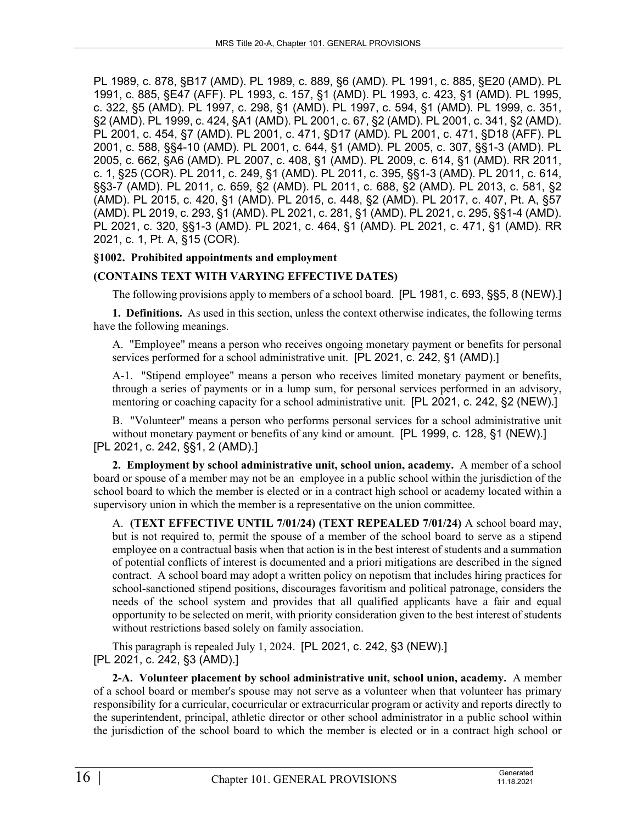PL 1989, c. 878, §B17 (AMD). PL 1989, c. 889, §6 (AMD). PL 1991, c. 885, §E20 (AMD). PL 1991, c. 885, §E47 (AFF). PL 1993, c. 157, §1 (AMD). PL 1993, c. 423, §1 (AMD). PL 1995, c. 322, §5 (AMD). PL 1997, c. 298, §1 (AMD). PL 1997, c. 594, §1 (AMD). PL 1999, c. 351, §2 (AMD). PL 1999, c. 424, §A1 (AMD). PL 2001, c. 67, §2 (AMD). PL 2001, c. 341, §2 (AMD). PL 2001, c. 454, §7 (AMD). PL 2001, c. 471, §D17 (AMD). PL 2001, c. 471, §D18 (AFF). PL 2001, c. 588, §§4-10 (AMD). PL 2001, c. 644, §1 (AMD). PL 2005, c. 307, §§1-3 (AMD). PL 2005, c. 662, §A6 (AMD). PL 2007, c. 408, §1 (AMD). PL 2009, c. 614, §1 (AMD). RR 2011, c. 1, §25 (COR). PL 2011, c. 249, §1 (AMD). PL 2011, c. 395, §§1-3 (AMD). PL 2011, c. 614, §§3-7 (AMD). PL 2011, c. 659, §2 (AMD). PL 2011, c. 688, §2 (AMD). PL 2013, c. 581, §2 (AMD). PL 2015, c. 420, §1 (AMD). PL 2015, c. 448, §2 (AMD). PL 2017, c. 407, Pt. A, §57 (AMD). PL 2019, c. 293, §1 (AMD). PL 2021, c. 281, §1 (AMD). PL 2021, c. 295, §§1-4 (AMD). PL 2021, c. 320, §§1-3 (AMD). PL 2021, c. 464, §1 (AMD). PL 2021, c. 471, §1 (AMD). RR 2021, c. 1, Pt. A, §15 (COR).

## **§1002. Prohibited appointments and employment**

## **(CONTAINS TEXT WITH VARYING EFFECTIVE DATES)**

The following provisions apply to members of a school board. [PL 1981, c. 693, §§5, 8 (NEW).]

**1. Definitions.** As used in this section, unless the context otherwise indicates, the following terms have the following meanings.

A. "Employee" means a person who receives ongoing monetary payment or benefits for personal services performed for a school administrative unit. [PL 2021, c. 242, §1 (AMD).]

A-1. "Stipend employee" means a person who receives limited monetary payment or benefits, through a series of payments or in a lump sum, for personal services performed in an advisory, mentoring or coaching capacity for a school administrative unit. [PL 2021, c. 242, §2 (NEW).]

B. "Volunteer" means a person who performs personal services for a school administrative unit without monetary payment or benefits of any kind or amount. [PL 1999, c. 128, §1 (NEW).] [PL 2021, c. 242, §§1, 2 (AMD).]

**2. Employment by school administrative unit, school union, academy.** A member of a school board or spouse of a member may not be an employee in a public school within the jurisdiction of the school board to which the member is elected or in a contract high school or academy located within a supervisory union in which the member is a representative on the union committee.

A. **(TEXT EFFECTIVE UNTIL 7/01/24) (TEXT REPEALED 7/01/24)** A school board may, but is not required to, permit the spouse of a member of the school board to serve as a stipend employee on a contractual basis when that action is in the best interest of students and a summation of potential conflicts of interest is documented and a priori mitigations are described in the signed contract. A school board may adopt a written policy on nepotism that includes hiring practices for school-sanctioned stipend positions, discourages favoritism and political patronage, considers the needs of the school system and provides that all qualified applicants have a fair and equal opportunity to be selected on merit, with priority consideration given to the best interest of students without restrictions based solely on family association.

This paragraph is repealed July 1, 2024. [PL 2021, c. 242, §3 (NEW).] [PL 2021, c. 242, §3 (AMD).]

**2-A. Volunteer placement by school administrative unit, school union, academy.** A member of a school board or member's spouse may not serve as a volunteer when that volunteer has primary responsibility for a curricular, cocurricular or extracurricular program or activity and reports directly to the superintendent, principal, athletic director or other school administrator in a public school within the jurisdiction of the school board to which the member is elected or in a contract high school or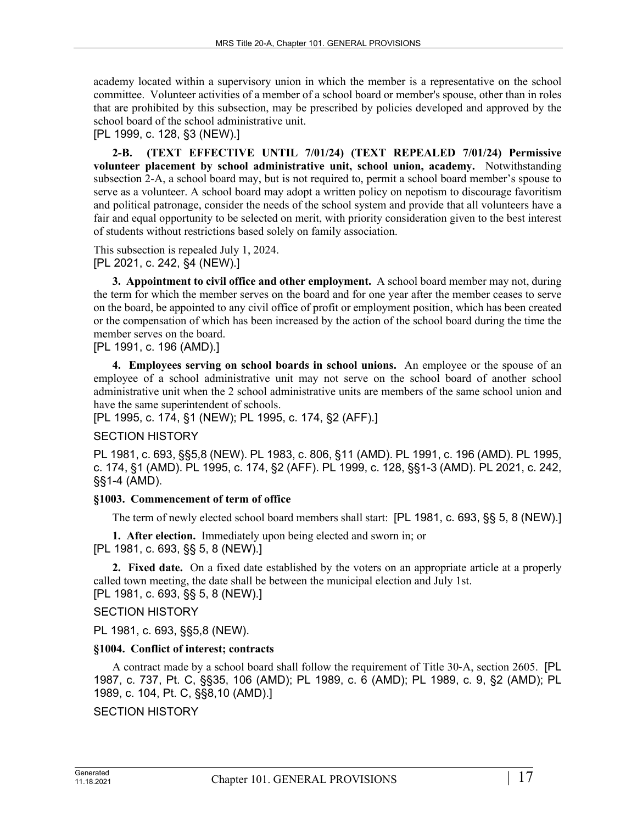academy located within a supervisory union in which the member is a representative on the school committee. Volunteer activities of a member of a school board or member's spouse, other than in roles that are prohibited by this subsection, may be prescribed by policies developed and approved by the school board of the school administrative unit.

```
[PL 1999, c. 128, §3 (NEW).]
```
**2-B. (TEXT EFFECTIVE UNTIL 7/01/24) (TEXT REPEALED 7/01/24) Permissive volunteer placement by school administrative unit, school union, academy.** Notwithstanding subsection 2-A, a school board may, but is not required to, permit a school board member's spouse to serve as a volunteer. A school board may adopt a written policy on nepotism to discourage favoritism and political patronage, consider the needs of the school system and provide that all volunteers have a fair and equal opportunity to be selected on merit, with priority consideration given to the best interest of students without restrictions based solely on family association.

This subsection is repealed July 1, 2024. [PL 2021, c. 242, §4 (NEW).]

**3. Appointment to civil office and other employment.** A school board member may not, during the term for which the member serves on the board and for one year after the member ceases to serve on the board, be appointed to any civil office of profit or employment position, which has been created or the compensation of which has been increased by the action of the school board during the time the member serves on the board.

[PL 1991, c. 196 (AMD).]

**4. Employees serving on school boards in school unions.** An employee or the spouse of an employee of a school administrative unit may not serve on the school board of another school administrative unit when the 2 school administrative units are members of the same school union and have the same superintendent of schools.

[PL 1995, c. 174, §1 (NEW); PL 1995, c. 174, §2 (AFF).]

## SECTION HISTORY

PL 1981, c. 693, §§5,8 (NEW). PL 1983, c. 806, §11 (AMD). PL 1991, c. 196 (AMD). PL 1995, c. 174, §1 (AMD). PL 1995, c. 174, §2 (AFF). PL 1999, c. 128, §§1-3 (AMD). PL 2021, c. 242, §§1-4 (AMD).

#### **§1003. Commencement of term of office**

The term of newly elected school board members shall start: [PL 1981, c. 693, §§ 5, 8 (NEW).]

**1. After election.** Immediately upon being elected and sworn in; or [PL 1981, c. 693, §§ 5, 8 (NEW).]

**2. Fixed date.** On a fixed date established by the voters on an appropriate article at a properly called town meeting, the date shall be between the municipal election and July 1st. [PL 1981, c. 693, §§ 5, 8 (NEW).]

SECTION HISTORY

PL 1981, c. 693, §§5,8 (NEW).

## **§1004. Conflict of interest; contracts**

A contract made by a school board shall follow the requirement of Title 30‑A, section 2605. [PL 1987, c. 737, Pt. C, §§35, 106 (AMD); PL 1989, c. 6 (AMD); PL 1989, c. 9, §2 (AMD); PL 1989, c. 104, Pt. C, §§8,10 (AMD).]

```
SECTION HISTORY
```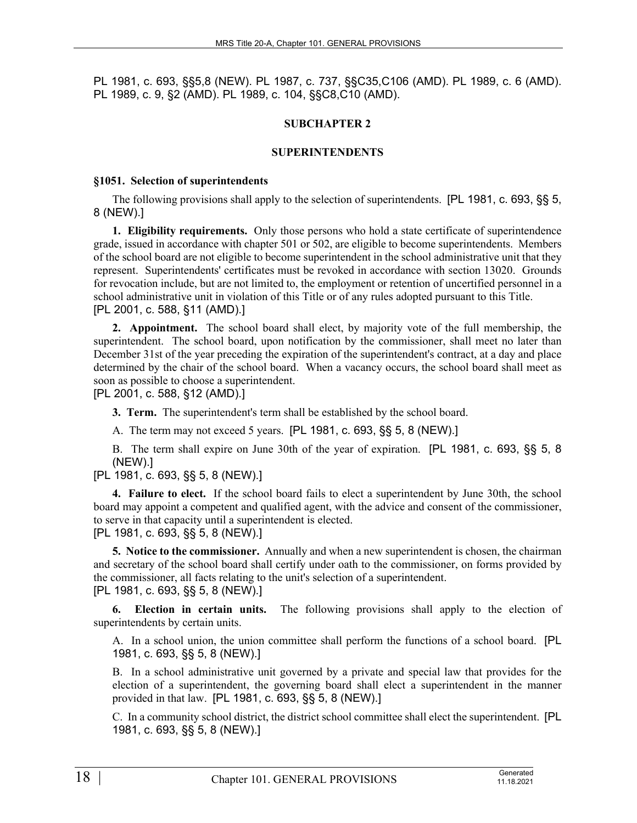PL 1981, c. 693, §§5,8 (NEW). PL 1987, c. 737, §§C35,C106 (AMD). PL 1989, c. 6 (AMD). PL 1989, c. 9, §2 (AMD). PL 1989, c. 104, §§C8,C10 (AMD).

## **SUBCHAPTER 2**

#### **SUPERINTENDENTS**

#### **§1051. Selection of superintendents**

The following provisions shall apply to the selection of superintendents. [PL 1981, c. 693, §§ 5, 8 (NEW).]

**1. Eligibility requirements.** Only those persons who hold a state certificate of superintendence grade, issued in accordance with chapter 501 or 502, are eligible to become superintendents. Members of the school board are not eligible to become superintendent in the school administrative unit that they represent. Superintendents' certificates must be revoked in accordance with section 13020. Grounds for revocation include, but are not limited to, the employment or retention of uncertified personnel in a school administrative unit in violation of this Title or of any rules adopted pursuant to this Title. [PL 2001, c. 588, §11 (AMD).]

**2. Appointment.** The school board shall elect, by majority vote of the full membership, the superintendent. The school board, upon notification by the commissioner, shall meet no later than December 31st of the year preceding the expiration of the superintendent's contract, at a day and place determined by the chair of the school board. When a vacancy occurs, the school board shall meet as soon as possible to choose a superintendent.

[PL 2001, c. 588, §12 (AMD).]

**3. Term.** The superintendent's term shall be established by the school board.

A. The term may not exceed 5 years. [PL 1981, c. 693, §§ 5, 8 (NEW).]

B. The term shall expire on June 30th of the year of expiration. [PL 1981, c. 693, §§ 5, 8 (NEW).]

[PL 1981, c. 693, §§ 5, 8 (NEW).]

**4. Failure to elect.** If the school board fails to elect a superintendent by June 30th, the school board may appoint a competent and qualified agent, with the advice and consent of the commissioner, to serve in that capacity until a superintendent is elected.

[PL 1981, c. 693, §§ 5, 8 (NEW).]

**5. Notice to the commissioner.** Annually and when a new superintendent is chosen, the chairman and secretary of the school board shall certify under oath to the commissioner, on forms provided by the commissioner, all facts relating to the unit's selection of a superintendent. [PL 1981, c. 693, §§ 5, 8 (NEW).]

**6. Election in certain units.** The following provisions shall apply to the election of superintendents by certain units.

A. In a school union, the union committee shall perform the functions of a school board. [PL 1981, c. 693, §§ 5, 8 (NEW).]

B. In a school administrative unit governed by a private and special law that provides for the election of a superintendent, the governing board shall elect a superintendent in the manner provided in that law. [PL 1981, c. 693, §§ 5, 8 (NEW).]

C. In a community school district, the district school committee shall elect the superintendent. [PL 1981, c. 693, §§ 5, 8 (NEW).]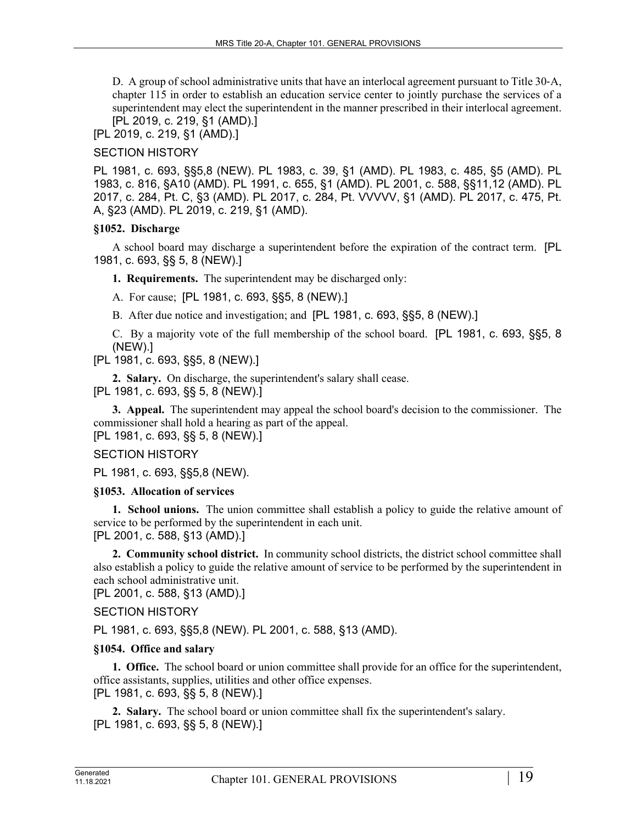D. A group of school administrative units that have an interlocal agreement pursuant to Title 30-A, chapter 115 in order to establish an education service center to jointly purchase the services of a superintendent may elect the superintendent in the manner prescribed in their interlocal agreement. [PL 2019, c. 219, §1 (AMD).]

[PL 2019, c. 219, §1 (AMD).]

#### SECTION HISTORY

PL 1981, c. 693, §§5,8 (NEW). PL 1983, c. 39, §1 (AMD). PL 1983, c. 485, §5 (AMD). PL 1983, c. 816, §A10 (AMD). PL 1991, c. 655, §1 (AMD). PL 2001, c. 588, §§11,12 (AMD). PL 2017, c. 284, Pt. C, §3 (AMD). PL 2017, c. 284, Pt. VVVVV, §1 (AMD). PL 2017, c. 475, Pt. A, §23 (AMD). PL 2019, c. 219, §1 (AMD).

#### **§1052. Discharge**

A school board may discharge a superintendent before the expiration of the contract term. [PL 1981, c. 693, §§ 5, 8 (NEW).]

**1. Requirements.** The superintendent may be discharged only:

A. For cause; [PL 1981, c. 693, §§5, 8 (NEW).]

B. After due notice and investigation; and [PL 1981, c. 693, §§5, 8 (NEW).]

C. By a majority vote of the full membership of the school board. [PL 1981, c. 693, §§5, 8 (NEW).]

[PL 1981, c. 693, §§5, 8 (NEW).]

**2. Salary.** On discharge, the superintendent's salary shall cease.

[PL 1981, c. 693, §§ 5, 8 (NEW).]

**3. Appeal.** The superintendent may appeal the school board's decision to the commissioner. The commissioner shall hold a hearing as part of the appeal.

[PL 1981, c. 693, §§ 5, 8 (NEW).]

## SECTION HISTORY

PL 1981, c. 693, §§5,8 (NEW).

#### **§1053. Allocation of services**

**1. School unions.** The union committee shall establish a policy to guide the relative amount of service to be performed by the superintendent in each unit. [PL 2001, c. 588, §13 (AMD).]

**2. Community school district.** In community school districts, the district school committee shall also establish a policy to guide the relative amount of service to be performed by the superintendent in each school administrative unit.

[PL 2001, c. 588, §13 (AMD).]

## SECTION HISTORY

PL 1981, c. 693, §§5,8 (NEW). PL 2001, c. 588, §13 (AMD).

## **§1054. Office and salary**

**1. Office.** The school board or union committee shall provide for an office for the superintendent, office assistants, supplies, utilities and other office expenses. [PL 1981, c. 693, §§ 5, 8 (NEW).]

**2. Salary.** The school board or union committee shall fix the superintendent's salary. [PL 1981, c. 693, §§ 5, 8 (NEW).]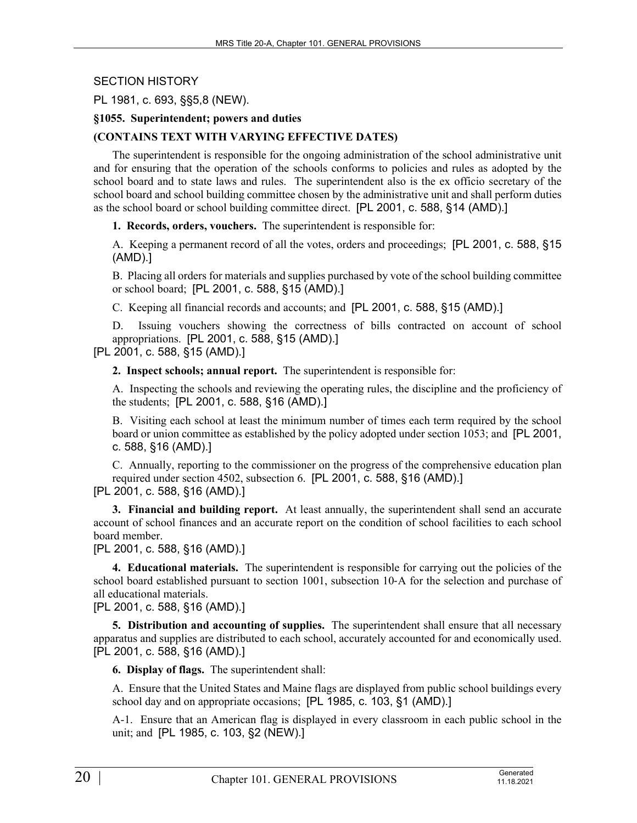#### SECTION HISTORY

#### PL 1981, c. 693, §§5,8 (NEW).

#### **§1055. Superintendent; powers and duties**

#### **(CONTAINS TEXT WITH VARYING EFFECTIVE DATES)**

The superintendent is responsible for the ongoing administration of the school administrative unit and for ensuring that the operation of the schools conforms to policies and rules as adopted by the school board and to state laws and rules. The superintendent also is the ex officio secretary of the school board and school building committee chosen by the administrative unit and shall perform duties as the school board or school building committee direct. [PL 2001, c. 588, §14 (AMD).]

**1. Records, orders, vouchers.** The superintendent is responsible for:

A. Keeping a permanent record of all the votes, orders and proceedings; [PL 2001, c. 588, §15 (AMD).]

B. Placing all orders for materials and supplies purchased by vote of the school building committee or school board; [PL 2001, c. 588, §15 (AMD).]

C. Keeping all financial records and accounts; and [PL 2001, c. 588, §15 (AMD).]

D. Issuing vouchers showing the correctness of bills contracted on account of school appropriations. [PL 2001, c. 588, §15 (AMD).]

[PL 2001, c. 588, §15 (AMD).]

**2. Inspect schools; annual report.** The superintendent is responsible for:

A. Inspecting the schools and reviewing the operating rules, the discipline and the proficiency of the students; [PL 2001, c. 588, §16 (AMD).]

B. Visiting each school at least the minimum number of times each term required by the school board or union committee as established by the policy adopted under section 1053; and [PL 2001, c. 588, §16 (AMD).]

C. Annually, reporting to the commissioner on the progress of the comprehensive education plan required under section 4502, subsection 6. [PL 2001, c. 588, §16 (AMD).]

[PL 2001, c. 588, §16 (AMD).]

**3. Financial and building report.** At least annually, the superintendent shall send an accurate account of school finances and an accurate report on the condition of school facilities to each school board member.

[PL 2001, c. 588, §16 (AMD).]

**4. Educational materials.** The superintendent is responsible for carrying out the policies of the school board established pursuant to section 1001, subsection 10–A for the selection and purchase of all educational materials.

[PL 2001, c. 588, §16 (AMD).]

**5. Distribution and accounting of supplies.** The superintendent shall ensure that all necessary apparatus and supplies are distributed to each school, accurately accounted for and economically used. [PL 2001, c. 588, §16 (AMD).]

**6. Display of flags.** The superintendent shall:

A. Ensure that the United States and Maine flags are displayed from public school buildings every school day and on appropriate occasions; [PL 1985, c. 103, §1 (AMD).]

A-1. Ensure that an American flag is displayed in every classroom in each public school in the unit; and [PL 1985, c. 103, §2 (NEW).]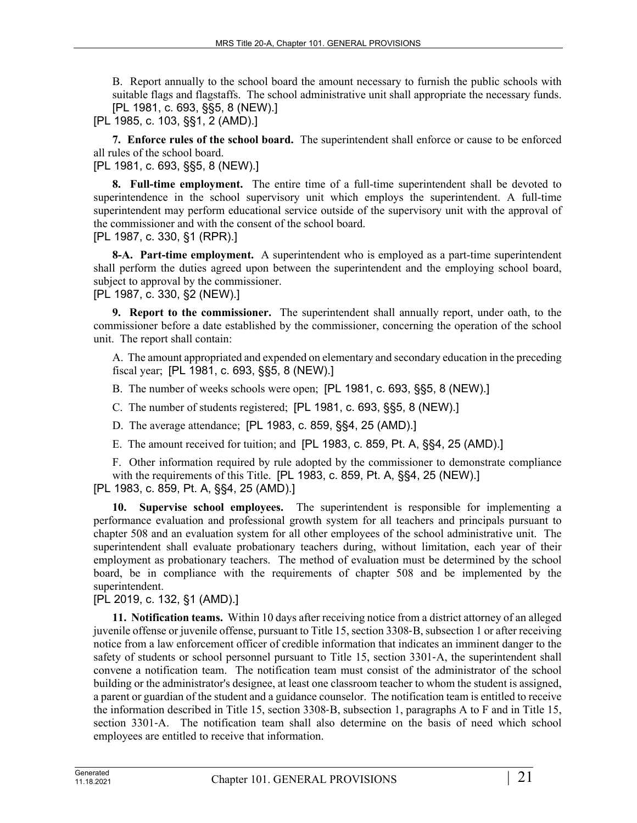B. Report annually to the school board the amount necessary to furnish the public schools with suitable flags and flagstaffs. The school administrative unit shall appropriate the necessary funds. [PL 1981, c. 693, §§5, 8 (NEW).]

[PL 1985, c. 103, §§1, 2 (AMD).]

**7. Enforce rules of the school board.** The superintendent shall enforce or cause to be enforced all rules of the school board.

[PL 1981, c. 693, §§5, 8 (NEW).]

**8. Full-time employment.** The entire time of a full-time superintendent shall be devoted to superintendence in the school supervisory unit which employs the superintendent. A full-time superintendent may perform educational service outside of the supervisory unit with the approval of the commissioner and with the consent of the school board.

[PL 1987, c. 330, §1 (RPR).]

**8-A. Part-time employment.** A superintendent who is employed as a part-time superintendent shall perform the duties agreed upon between the superintendent and the employing school board, subject to approval by the commissioner.

[PL 1987, c. 330, §2 (NEW).]

**9. Report to the commissioner.** The superintendent shall annually report, under oath, to the commissioner before a date established by the commissioner, concerning the operation of the school unit. The report shall contain:

A. The amount appropriated and expended on elementary and secondary education in the preceding fiscal year; [PL 1981, c. 693, §§5, 8 (NEW).]

B. The number of weeks schools were open; [PL 1981, c. 693, §§5, 8 (NEW).]

C. The number of students registered; [PL 1981, c. 693, §§5, 8 (NEW).]

D. The average attendance; [PL 1983, c. 859, §§4, 25 (AMD).]

E. The amount received for tuition; and [PL 1983, c. 859, Pt. A, §§4, 25 (AMD).]

F. Other information required by rule adopted by the commissioner to demonstrate compliance with the requirements of this Title. [PL 1983, c. 859, Pt. A, §§4, 25 (NEW).] [PL 1983, c. 859, Pt. A, §§4, 25 (AMD).]

**10. Supervise school employees.** The superintendent is responsible for implementing a performance evaluation and professional growth system for all teachers and principals pursuant to chapter 508 and an evaluation system for all other employees of the school administrative unit. The superintendent shall evaluate probationary teachers during, without limitation, each year of their employment as probationary teachers. The method of evaluation must be determined by the school board, be in compliance with the requirements of chapter 508 and be implemented by the superintendent.

[PL 2019, c. 132, §1 (AMD).]

**11. Notification teams.** Within 10 days after receiving notice from a district attorney of an alleged juvenile offense or juvenile offense, pursuant to Title 15, section 3308‑B, subsection 1 or after receiving notice from a law enforcement officer of credible information that indicates an imminent danger to the safety of students or school personnel pursuant to Title 15, section 3301-A, the superintendent shall convene a notification team. The notification team must consist of the administrator of the school building or the administrator's designee, at least one classroom teacher to whom the student is assigned, a parent or guardian of the student and a guidance counselor. The notification team is entitled to receive the information described in Title 15, section 3308‑B, subsection 1, paragraphs A to F and in Title 15, section 3301–A. The notification team shall also determine on the basis of need which school employees are entitled to receive that information.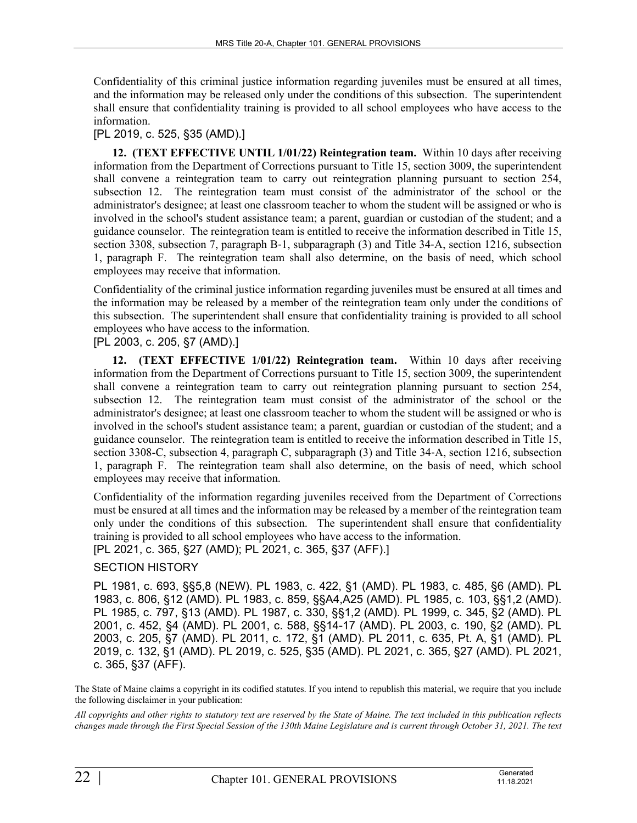Confidentiality of this criminal justice information regarding juveniles must be ensured at all times, and the information may be released only under the conditions of this subsection. The superintendent shall ensure that confidentiality training is provided to all school employees who have access to the information.

#### [PL 2019, c. 525, §35 (AMD).]

**12. (TEXT EFFECTIVE UNTIL 1/01/22) Reintegration team.** Within 10 days after receiving information from the Department of Corrections pursuant to Title 15, section 3009, the superintendent shall convene a reintegration team to carry out reintegration planning pursuant to section 254, subsection 12. The reintegration team must consist of the administrator of the school or the administrator's designee; at least one classroom teacher to whom the student will be assigned or who is involved in the school's student assistance team; a parent, guardian or custodian of the student; and a guidance counselor. The reintegration team is entitled to receive the information described in Title 15, section 3308, subsection 7, paragraph B–1, subparagraph (3) and Title 34–A, section 1216, subsection 1, paragraph F. The reintegration team shall also determine, on the basis of need, which school employees may receive that information.

Confidentiality of the criminal justice information regarding juveniles must be ensured at all times and the information may be released by a member of the reintegration team only under the conditions of this subsection. The superintendent shall ensure that confidentiality training is provided to all school employees who have access to the information.

# [PL 2003, c. 205, §7 (AMD).]

**12. (TEXT EFFECTIVE 1/01/22) Reintegration team.** Within 10 days after receiving information from the Department of Corrections pursuant to Title 15, section 3009, the superintendent shall convene a reintegration team to carry out reintegration planning pursuant to section 254, subsection 12. The reintegration team must consist of the administrator of the school or the administrator's designee; at least one classroom teacher to whom the student will be assigned or who is involved in the school's student assistance team; a parent, guardian or custodian of the student; and a guidance counselor. The reintegration team is entitled to receive the information described in Title 15, section 3308-C, subsection 4, paragraph C, subparagraph (3) and Title 34-A, section 1216, subsection 1, paragraph F. The reintegration team shall also determine, on the basis of need, which school employees may receive that information.

Confidentiality of the information regarding juveniles received from the Department of Corrections must be ensured at all times and the information may be released by a member of the reintegration team only under the conditions of this subsection. The superintendent shall ensure that confidentiality training is provided to all school employees who have access to the information. [PL 2021, c. 365, §27 (AMD); PL 2021, c. 365, §37 (AFF).]

# SECTION HISTORY

PL 1981, c. 693, §§5,8 (NEW). PL 1983, c. 422, §1 (AMD). PL 1983, c. 485, §6 (AMD). PL 1983, c. 806, §12 (AMD). PL 1983, c. 859, §§A4,A25 (AMD). PL 1985, c. 103, §§1,2 (AMD). PL 1985, c. 797, §13 (AMD). PL 1987, c. 330, §§1,2 (AMD). PL 1999, c. 345, §2 (AMD). PL 2001, c. 452, §4 (AMD). PL 2001, c. 588, §§14-17 (AMD). PL 2003, c. 190, §2 (AMD). PL 2003, c. 205, §7 (AMD). PL 2011, c. 172, §1 (AMD). PL 2011, c. 635, Pt. A, §1 (AMD). PL 2019, c. 132, §1 (AMD). PL 2019, c. 525, §35 (AMD). PL 2021, c. 365, §27 (AMD). PL 2021, c. 365, §37 (AFF).

The State of Maine claims a copyright in its codified statutes. If you intend to republish this material, we require that you include the following disclaimer in your publication:

*All copyrights and other rights to statutory text are reserved by the State of Maine. The text included in this publication reflects changes made through the First Special Session of the 130th Maine Legislature and is current through October 31, 2021. The text*